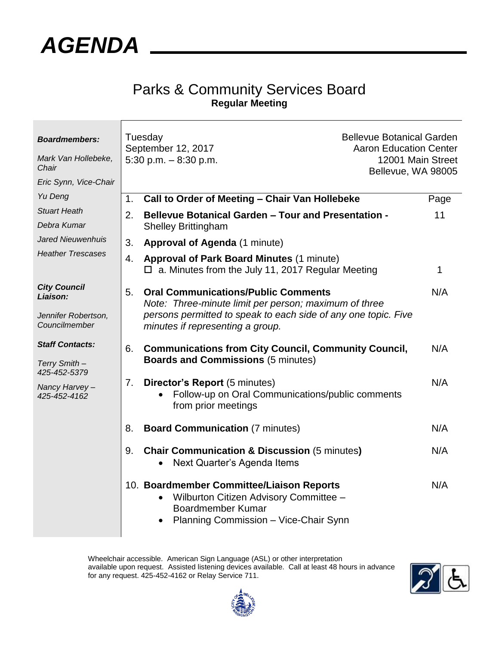

## Parks & Community Services Board **Regular Meeting**

| <b>Boardmembers:</b><br>Mark Van Hollebeke,<br>Chair<br>Eric Synn, Vice-Chair | Tuesday<br>September 12, 2017<br>5:30 p.m. $-8:30$ p.m. |                                                                                                                                                          | <b>Bellevue Botanical Garden</b><br><b>Aaron Education Center</b><br>12001 Main Street<br>Bellevue, WA 98005 |      |
|-------------------------------------------------------------------------------|---------------------------------------------------------|----------------------------------------------------------------------------------------------------------------------------------------------------------|--------------------------------------------------------------------------------------------------------------|------|
| Yu Deng                                                                       | 1.                                                      | Call to Order of Meeting - Chair Van Hollebeke                                                                                                           |                                                                                                              | Page |
| <b>Stuart Heath</b>                                                           | 2.                                                      | <b>Bellevue Botanical Garden - Tour and Presentation -</b><br><b>Shelley Brittingham</b>                                                                 |                                                                                                              | 11   |
| Debra Kumar                                                                   |                                                         |                                                                                                                                                          |                                                                                                              |      |
| Jared Nieuwenhuis                                                             | 3.                                                      | Approval of Agenda (1 minute)                                                                                                                            |                                                                                                              |      |
| <b>Heather Trescases</b>                                                      | 4.                                                      | <b>Approval of Park Board Minutes (1 minute)</b><br>$\Box$ a. Minutes from the July 11, 2017 Regular Meeting                                             |                                                                                                              | 1    |
| <b>City Council</b><br>Liaison:                                               | 5.                                                      | <b>Oral Communications/Public Comments</b><br>Note: Three-minute limit per person; maximum of three                                                      |                                                                                                              | N/A  |
| Jennifer Robertson,<br>Councilmember                                          |                                                         | persons permitted to speak to each side of any one topic. Five<br>minutes if representing a group.                                                       |                                                                                                              |      |
| <b>Staff Contacts:</b><br>Terry Smith-                                        | 6.                                                      | <b>Communications from City Council, Community Council,</b><br><b>Boards and Commissions (5 minutes)</b>                                                 |                                                                                                              | N/A  |
| 425-452-5379                                                                  |                                                         |                                                                                                                                                          |                                                                                                              |      |
| Nancy Harvey-<br>425-452-4162                                                 | 7.                                                      | <b>Director's Report (5 minutes)</b><br>Follow-up on Oral Communications/public comments<br>from prior meetings                                          |                                                                                                              | N/A  |
|                                                                               | 8.                                                      | <b>Board Communication (7 minutes)</b>                                                                                                                   |                                                                                                              | N/A  |
|                                                                               | 9.                                                      | <b>Chair Communication &amp; Discussion (5 minutes)</b><br>Next Quarter's Agenda Items                                                                   |                                                                                                              | N/A  |
|                                                                               |                                                         | 10. Boardmember Committee/Liaison Reports<br>Wilburton Citizen Advisory Committee -<br><b>Boardmember Kumar</b><br>Planning Commission - Vice-Chair Synn |                                                                                                              | N/A  |

Wheelchair accessible. American Sign Language (ASL) or other interpretation available upon request. Assisted listening devices available. Call at least 48 hours in advance for any request. 425-452-4162 or Relay Service 711.